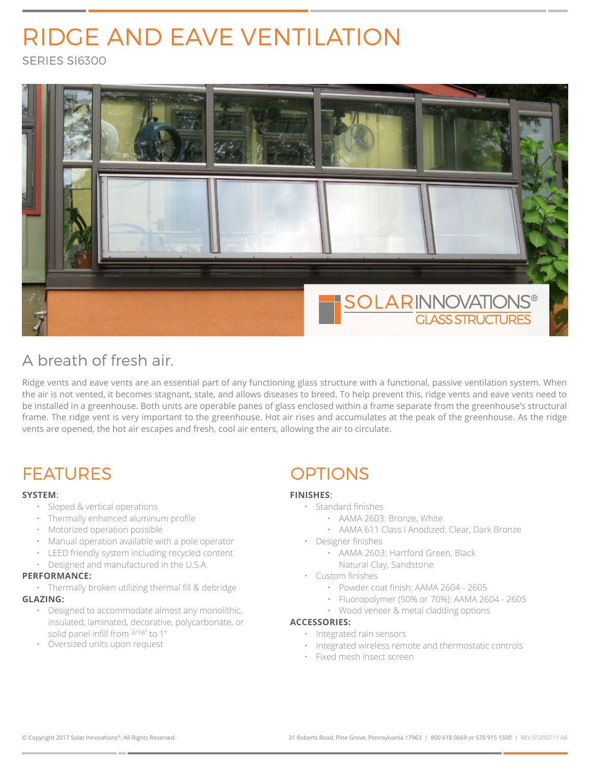# RIDGE AND EAVE VENTILATION

SERIES SI6300



# A breath of fresh air.

Ridge vents and eave vents are an essential part of any functioning glass structure with a functional, passive ventilation system. When the air is not vented, it becomes stagnant, stale, and allows diseases to breed. To help prevent this, ridge vents and eave vents need to be installed in a greenhouse. Both units are operable panes of glass enclosed within a frame separate from the greenhouse's structural frame. The ridge vent is very important to the greenhouse. Hot air rises and accumulates at the peak of the greenhouse. As the ridge vents are opened, the hot air escapes and fresh, cool air enters, allowing the air to circulate.

# FEATURES OPTIONS

## **SYSTEM**:

- Sloped & vertical operations
- Thermally enhanced aluminum profile
- Motorized operation possible
- Manual operation available with a pole operator
- LEED friendly system including recycled content
- Designed and manufactured in the U.S.A.

## **PERFORMANCE:**

• Thermally broken utilizing thermal fill & debridge

## **GLAZING:**

- Designed to accommodate almost any monolithic, insulated, laminated, decorative, polycarbonate, or solid panel infill from 3/16" to 1"
- Oversized units upon request

## **FINISHES**:

- Standard finishes
	- AAMA 2603: Bronze, White
	- AAMA 611 Class I Anodized: Clear, Dark Bronze
	- Designer finishes
		- AAMA 2603: Hartford Green, Black
		- Natural Clay, Sandstone
	- Custom finishes
		- Powder coat finish: AAMA 2604 2605
		- Fluoropolymer (50% or 70%): AAMA 2604 2605
		- Wood veneer & metal cladding options

### **ACCESSORIES:**

- Integrated rain sensors
- Integrated wireless remote and thermostatic controls
- Fixed mesh insect screen